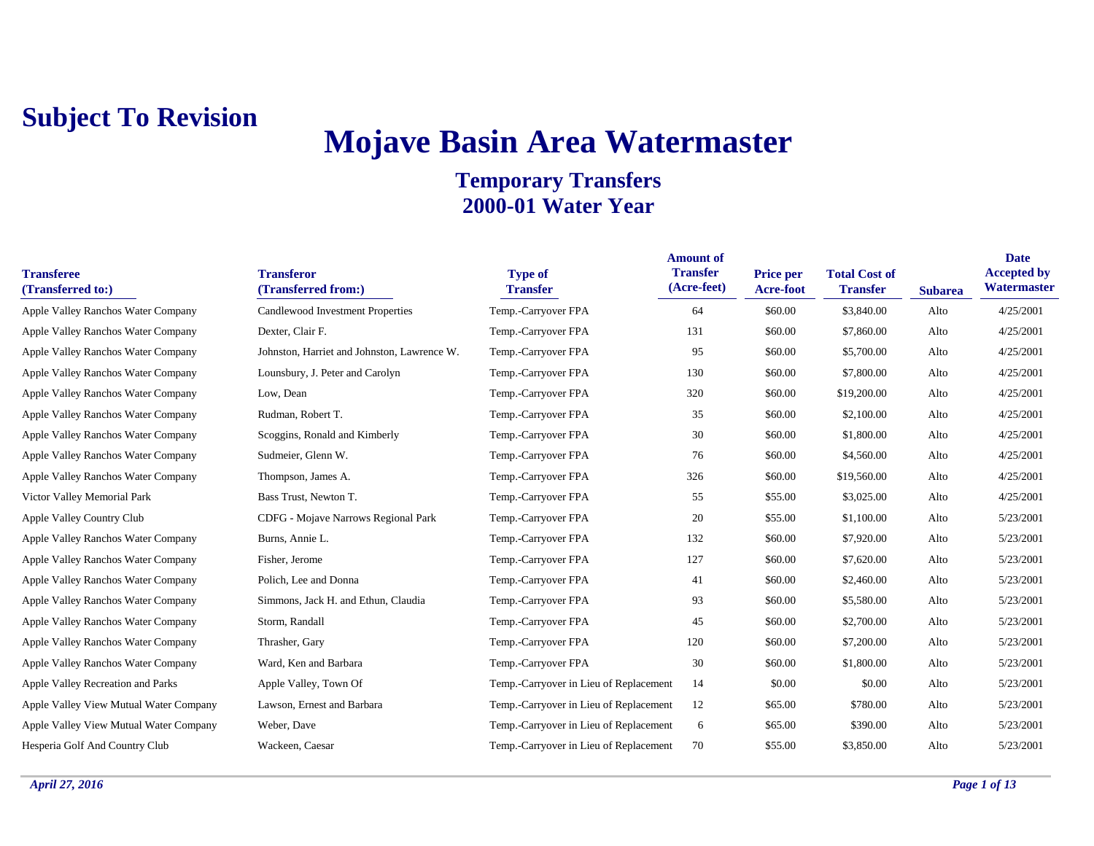# **Mojave Basin Area Watermaster**

| <b>Transferee</b><br>(Transferred to:) | <b>Transferor</b><br>(Transferred from:)    | <b>Type of</b><br><b>Transfer</b>      | <b>Amount of</b><br><b>Transfer</b><br>(Acre-feet) | Price per<br>Acre-foot | <b>Total Cost of</b><br><b>Transfer</b> | <b>Subarea</b> | <b>Date</b><br><b>Accepted by</b><br>Watermaster |
|----------------------------------------|---------------------------------------------|----------------------------------------|----------------------------------------------------|------------------------|-----------------------------------------|----------------|--------------------------------------------------|
| Apple Valley Ranchos Water Company     | Candlewood Investment Properties            | Temp.-Carryover FPA                    | 64                                                 | \$60.00                | \$3,840.00                              | Alto           | 4/25/2001                                        |
| Apple Valley Ranchos Water Company     | Dexter, Clair F.                            | Temp.-Carryover FPA                    | 131                                                | \$60.00                | \$7,860.00                              | Alto           | 4/25/2001                                        |
| Apple Valley Ranchos Water Company     | Johnston, Harriet and Johnston, Lawrence W. | Temp.-Carryover FPA                    | 95                                                 | \$60.00                | \$5,700.00                              | Alto           | 4/25/2001                                        |
| Apple Valley Ranchos Water Company     | Lounsbury, J. Peter and Carolyn             | Temp.-Carryover FPA                    | 130                                                | \$60.00                | \$7,800.00                              | Alto           | 4/25/2001                                        |
| Apple Valley Ranchos Water Company     | Low, Dean                                   | Temp.-Carryover FPA                    | 320                                                | \$60.00                | \$19,200.00                             | Alto           | 4/25/2001                                        |
| Apple Valley Ranchos Water Company     | Rudman, Robert T.                           | Temp.-Carryover FPA                    | 35                                                 | \$60.00                | \$2,100.00                              | Alto           | 4/25/2001                                        |
| Apple Valley Ranchos Water Company     | Scoggins, Ronald and Kimberly               | Temp.-Carryover FPA                    | 30                                                 | \$60.00                | \$1,800.00                              | Alto           | 4/25/2001                                        |
| Apple Valley Ranchos Water Company     | Sudmeier, Glenn W.                          | Temp.-Carryover FPA                    | 76                                                 | \$60.00                | \$4,560.00                              | Alto           | 4/25/2001                                        |
| Apple Valley Ranchos Water Company     | Thompson, James A.                          | Temp.-Carryover FPA                    | 326                                                | \$60.00                | \$19,560.00                             | Alto           | 4/25/2001                                        |
| Victor Valley Memorial Park            | Bass Trust, Newton T.                       | Temp.-Carryover FPA                    | 55                                                 | \$55.00                | \$3,025.00                              | Alto           | 4/25/2001                                        |
| Apple Valley Country Club              | CDFG - Mojave Narrows Regional Park         | Temp.-Carryover FPA                    | 20                                                 | \$55.00                | \$1,100.00                              | Alto           | 5/23/2001                                        |
| Apple Valley Ranchos Water Company     | Burns, Annie L.                             | Temp.-Carryover FPA                    | 132                                                | \$60.00                | \$7,920.00                              | Alto           | 5/23/2001                                        |
| Apple Valley Ranchos Water Company     | Fisher, Jerome                              | Temp.-Carryover FPA                    | 127                                                | \$60.00                | \$7,620.00                              | Alto           | 5/23/2001                                        |
| Apple Valley Ranchos Water Company     | Polich, Lee and Donna                       | Temp.-Carryover FPA                    | 41                                                 | \$60.00                | \$2,460.00                              | Alto           | 5/23/2001                                        |
| Apple Valley Ranchos Water Company     | Simmons, Jack H. and Ethun, Claudia         | Temp.-Carryover FPA                    | 93                                                 | \$60.00                | \$5,580.00                              | Alto           | 5/23/2001                                        |
| Apple Valley Ranchos Water Company     | Storm, Randall                              | Temp.-Carryover FPA                    | 45                                                 | \$60.00                | \$2,700.00                              | Alto           | 5/23/2001                                        |
| Apple Valley Ranchos Water Company     | Thrasher, Gary                              | Temp.-Carryover FPA                    | 120                                                | \$60.00                | \$7,200.00                              | Alto           | 5/23/2001                                        |
| Apple Valley Ranchos Water Company     | Ward, Ken and Barbara                       | Temp.-Carryover FPA                    | 30                                                 | \$60.00                | \$1,800.00                              | Alto           | 5/23/2001                                        |
| Apple Valley Recreation and Parks      | Apple Valley, Town Of                       | Temp.-Carryover in Lieu of Replacement | 14                                                 | \$0.00                 | \$0.00                                  | Alto           | 5/23/2001                                        |
| Apple Valley View Mutual Water Company | Lawson, Ernest and Barbara                  | Temp.-Carryover in Lieu of Replacement | 12                                                 | \$65.00                | \$780.00                                | Alto           | 5/23/2001                                        |
| Apple Valley View Mutual Water Company | Weber, Dave                                 | Temp.-Carryover in Lieu of Replacement | 6                                                  | \$65.00                | \$390.00                                | Alto           | 5/23/2001                                        |
| Hesperia Golf And Country Club         | Wackeen, Caesar                             | Temp.-Carryover in Lieu of Replacement | 70                                                 | \$55.00                | \$3,850.00                              | Alto           | 5/23/2001                                        |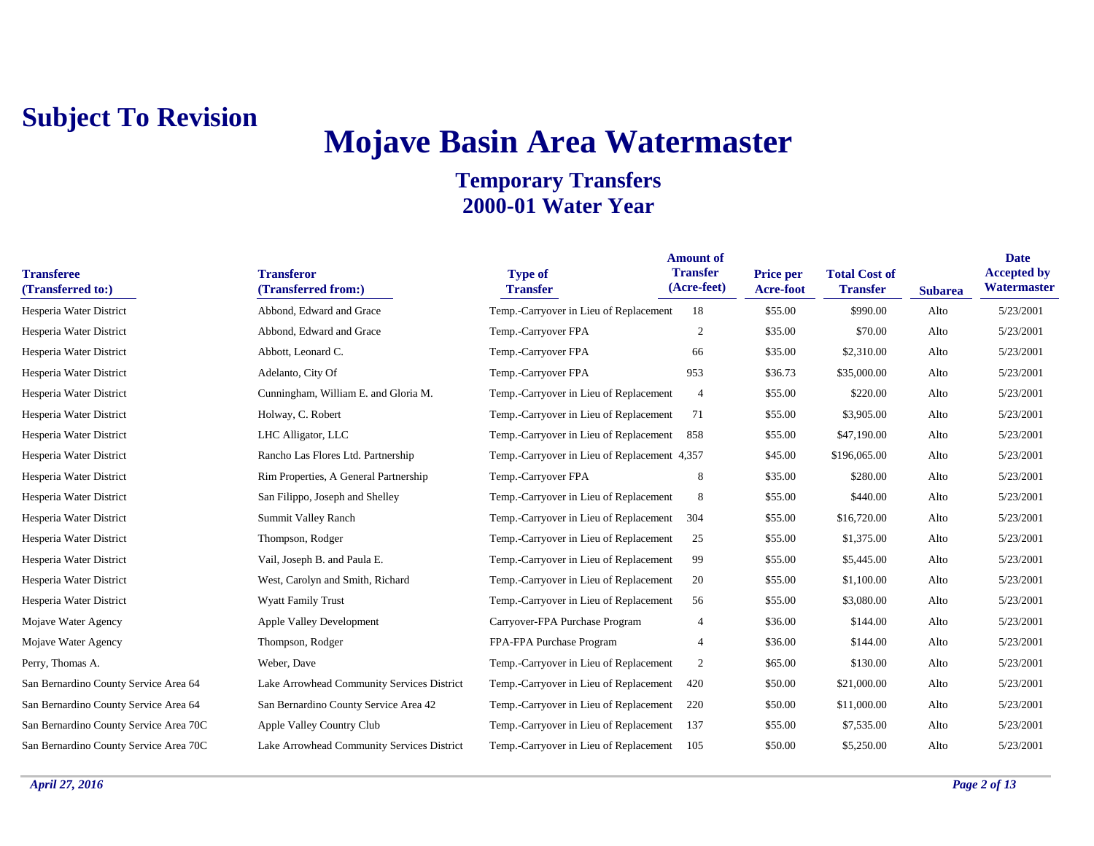# **Mojave Basin Area Watermaster**

| <b>Transferee</b><br>(Transferred to:) | <b>Transferor</b><br>(Transferred from:)   | <b>Type of</b><br><b>Transfer</b>            | <b>Amount of</b><br><b>Transfer</b><br>(Acre-feet) | <b>Price per</b><br>Acre-foot | <b>Total Cost of</b><br><b>Transfer</b> | <b>Subarea</b> | <b>Date</b><br><b>Accepted by</b><br>Watermaster |
|----------------------------------------|--------------------------------------------|----------------------------------------------|----------------------------------------------------|-------------------------------|-----------------------------------------|----------------|--------------------------------------------------|
| Hesperia Water District                | Abbond, Edward and Grace                   | Temp.-Carryover in Lieu of Replacement       | 18                                                 | \$55.00                       | \$990.00                                | Alto           | 5/23/2001                                        |
| Hesperia Water District                | Abbond, Edward and Grace                   | Temp.-Carryover FPA                          | $\overline{2}$                                     | \$35.00                       | \$70.00                                 | Alto           | 5/23/2001                                        |
| Hesperia Water District                | Abbott, Leonard C.                         | Temp.-Carryover FPA                          | 66                                                 | \$35.00                       | \$2,310.00                              | Alto           | 5/23/2001                                        |
| Hesperia Water District                | Adelanto, City Of                          | Temp.-Carryover FPA                          | 953                                                | \$36.73                       | \$35,000.00                             | Alto           | 5/23/2001                                        |
| Hesperia Water District                | Cunningham, William E. and Gloria M.       | Temp.-Carryover in Lieu of Replacement       | 4                                                  | \$55.00                       | \$220.00                                | Alto           | 5/23/2001                                        |
| Hesperia Water District                | Holway, C. Robert                          | Temp.-Carryover in Lieu of Replacement       | 71                                                 | \$55.00                       | \$3,905.00                              | Alto           | 5/23/2001                                        |
| Hesperia Water District                | LHC Alligator, LLC                         | Temp.-Carryover in Lieu of Replacement       | 858                                                | \$55.00                       | \$47,190.00                             | Alto           | 5/23/2001                                        |
| Hesperia Water District                | Rancho Las Flores Ltd. Partnership         | Temp.-Carryover in Lieu of Replacement 4,357 |                                                    | \$45.00                       | \$196,065.00                            | Alto           | 5/23/2001                                        |
| Hesperia Water District                | Rim Properties, A General Partnership      | Temp.-Carryover FPA                          | 8                                                  | \$35.00                       | \$280.00                                | Alto           | 5/23/2001                                        |
| Hesperia Water District                | San Filippo, Joseph and Shelley            | Temp.-Carryover in Lieu of Replacement       | 8                                                  | \$55.00                       | \$440.00                                | Alto           | 5/23/2001                                        |
| Hesperia Water District                | Summit Valley Ranch                        | Temp.-Carryover in Lieu of Replacement       | 304                                                | \$55.00                       | \$16,720.00                             | Alto           | 5/23/2001                                        |
| Hesperia Water District                | Thompson, Rodger                           | Temp.-Carryover in Lieu of Replacement       | 25                                                 | \$55.00                       | \$1,375.00                              | Alto           | 5/23/2001                                        |
| Hesperia Water District                | Vail, Joseph B. and Paula E.               | Temp.-Carryover in Lieu of Replacement       | 99                                                 | \$55.00                       | \$5,445.00                              | Alto           | 5/23/2001                                        |
| Hesperia Water District                | West, Carolyn and Smith, Richard           | Temp.-Carryover in Lieu of Replacement       | 20                                                 | \$55.00                       | \$1,100.00                              | Alto           | 5/23/2001                                        |
| Hesperia Water District                | <b>Wyatt Family Trust</b>                  | Temp.-Carryover in Lieu of Replacement       | 56                                                 | \$55.00                       | \$3,080.00                              | Alto           | 5/23/2001                                        |
| Mojave Water Agency                    | Apple Valley Development                   | Carryover-FPA Purchase Program               | $\overline{4}$                                     | \$36.00                       | \$144.00                                | Alto           | 5/23/2001                                        |
| Mojave Water Agency                    | Thompson, Rodger                           | FPA-FPA Purchase Program                     | 4                                                  | \$36.00                       | \$144.00                                | Alto           | 5/23/2001                                        |
| Perry, Thomas A.                       | Weber, Dave                                | Temp.-Carryover in Lieu of Replacement       | $\overline{c}$                                     | \$65.00                       | \$130.00                                | Alto           | 5/23/2001                                        |
| San Bernardino County Service Area 64  | Lake Arrowhead Community Services District | Temp.-Carryover in Lieu of Replacement       | 420                                                | \$50.00                       | \$21,000.00                             | Alto           | 5/23/2001                                        |
| San Bernardino County Service Area 64  | San Bernardino County Service Area 42      | Temp.-Carryover in Lieu of Replacement       | 220                                                | \$50.00                       | \$11,000.00                             | Alto           | 5/23/2001                                        |
| San Bernardino County Service Area 70C | Apple Valley Country Club                  | Temp.-Carryover in Lieu of Replacement       | 137                                                | \$55.00                       | \$7,535.00                              | Alto           | 5/23/2001                                        |
| San Bernardino County Service Area 70C | Lake Arrowhead Community Services District | Temp.-Carryover in Lieu of Replacement       | 105                                                | \$50.00                       | \$5,250.00                              | Alto           | 5/23/2001                                        |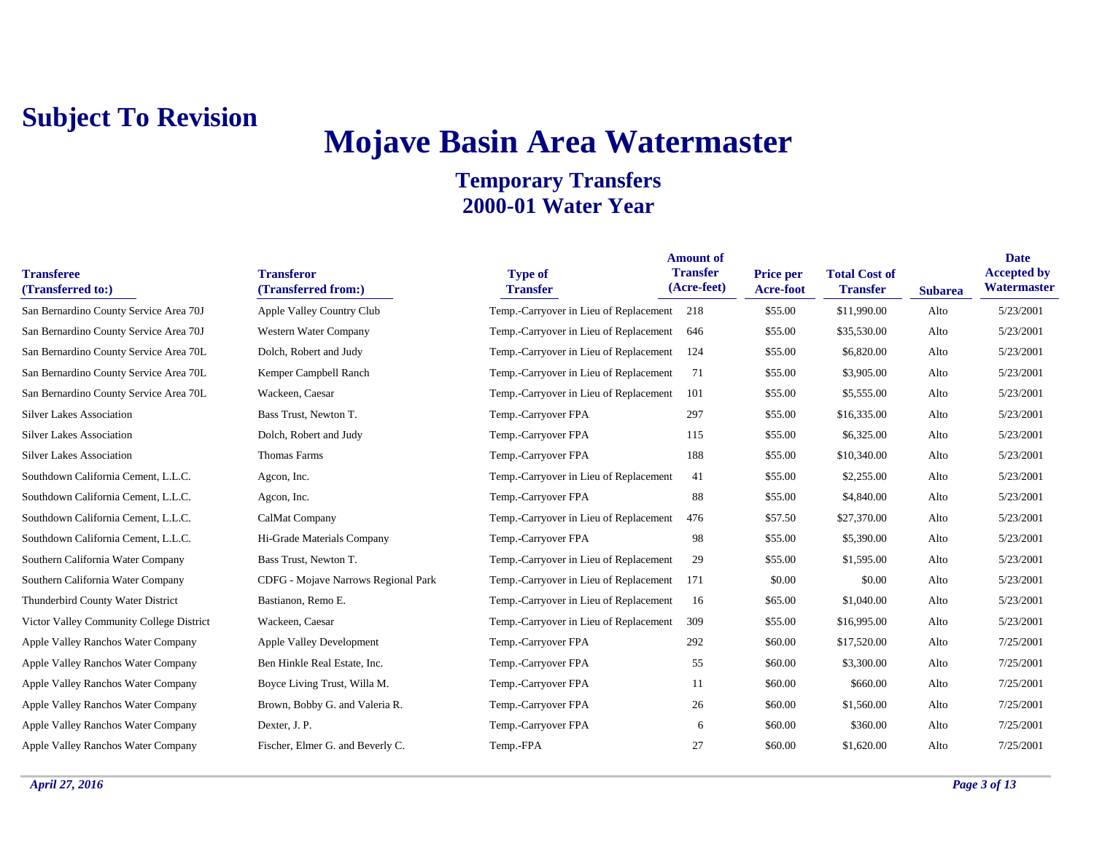## **Mojave Basin Area Watermaster**

| <b>Transferee</b><br>(Transferred to:)   | <b>Transferor</b><br>(Transferred from:) | <b>Type of</b><br><b>Transfer</b>      | <b>Amount of</b><br><b>Transfer</b><br>(Acre-feet) | <b>Price per</b><br><b>Acre-foot</b> | <b>Total Cost of</b><br><b>Transfer</b> | <b>Subarea</b> | <b>Date</b><br><b>Accepted by</b><br>Watermaster |
|------------------------------------------|------------------------------------------|----------------------------------------|----------------------------------------------------|--------------------------------------|-----------------------------------------|----------------|--------------------------------------------------|
| San Bernardino County Service Area 70J   | Apple Valley Country Club                | Temp.-Carryover in Lieu of Replacement | 218                                                | \$55.00                              | \$11,990.00                             | Alto           | 5/23/2001                                        |
| San Bernardino County Service Area 70J   | Western Water Company                    | Temp.-Carryover in Lieu of Replacement | 646                                                | \$55.00                              | \$35,530.00                             | Alto           | 5/23/2001                                        |
| San Bernardino County Service Area 70L   | Dolch, Robert and Judy                   | Temp.-Carryover in Lieu of Replacement | 124                                                | \$55.00                              | \$6,820.00                              | Alto           | 5/23/2001                                        |
| San Bernardino County Service Area 70L   | Kemper Campbell Ranch                    | Temp.-Carryover in Lieu of Replacement | 71                                                 | \$55.00                              | \$3,905.00                              | Alto           | 5/23/2001                                        |
| San Bernardino County Service Area 70L   | Wackeen, Caesar                          | Temp.-Carryover in Lieu of Replacement | 101                                                | \$55.00                              | \$5,555.00                              | Alto           | 5/23/2001                                        |
| <b>Silver Lakes Association</b>          | Bass Trust, Newton T.                    | Temp.-Carryover FPA                    | 297                                                | \$55.00                              | \$16,335.00                             | Alto           | 5/23/2001                                        |
| <b>Silver Lakes Association</b>          | Dolch, Robert and Judy                   | Temp.-Carryover FPA                    | 115                                                | \$55.00                              | \$6,325.00                              | Alto           | 5/23/2001                                        |
| <b>Silver Lakes Association</b>          | <b>Thomas Farms</b>                      | Temp.-Carryover FPA                    | 188                                                | \$55.00                              | \$10,340.00                             | Alto           | 5/23/2001                                        |
| Southdown California Cement, L.L.C.      | Agcon, Inc.                              | Temp.-Carryover in Lieu of Replacement | 41                                                 | \$55.00                              | \$2,255.00                              | Alto           | 5/23/2001                                        |
| Southdown California Cement, L.L.C.      | Agcon, Inc.                              | Temp.-Carryover FPA                    | 88                                                 | \$55.00                              | \$4,840.00                              | Alto           | 5/23/2001                                        |
| Southdown California Cement, L.L.C.      | CalMat Company                           | Temp.-Carryover in Lieu of Replacement | 476                                                | \$57.50                              | \$27,370.00                             | Alto           | 5/23/2001                                        |
| Southdown California Cement, L.L.C.      | Hi-Grade Materials Company               | Temp.-Carryover FPA                    | 98                                                 | \$55.00                              | \$5,390.00                              | Alto           | 5/23/2001                                        |
| Southern California Water Company        | Bass Trust, Newton T.                    | Temp.-Carryover in Lieu of Replacement | 29                                                 | \$55.00                              | \$1,595.00                              | Alto           | 5/23/2001                                        |
| Southern California Water Company        | CDFG - Mojave Narrows Regional Park      | Temp.-Carryover in Lieu of Replacement | 171                                                | \$0.00                               | \$0.00                                  | Alto           | 5/23/2001                                        |
| Thunderbird County Water District        | Bastianon, Remo E.                       | Temp.-Carryover in Lieu of Replacement | 16                                                 | \$65.00                              | \$1,040.00                              | Alto           | 5/23/2001                                        |
| Victor Valley Community College District | Wackeen, Caesar                          | Temp.-Carryover in Lieu of Replacement | 309                                                | \$55.00                              | \$16,995.00                             | Alto           | 5/23/2001                                        |
| Apple Valley Ranchos Water Company       | <b>Apple Valley Development</b>          | Temp.-Carryover FPA                    | 292                                                | \$60.00                              | \$17,520.00                             | Alto           | 7/25/2001                                        |
| Apple Valley Ranchos Water Company       | Ben Hinkle Real Estate, Inc.             | Temp.-Carryover FPA                    | 55                                                 | \$60.00                              | \$3,300.00                              | Alto           | 7/25/2001                                        |
| Apple Valley Ranchos Water Company       | Boyce Living Trust, Willa M.             | Temp.-Carryover FPA                    | 11                                                 | \$60.00                              | \$660.00                                | Alto           | 7/25/2001                                        |
| Apple Valley Ranchos Water Company       | Brown, Bobby G. and Valeria R.           | Temp.-Carryover FPA                    | 26                                                 | \$60.00                              | \$1,560.00                              | Alto           | 7/25/2001                                        |
| Apple Valley Ranchos Water Company       | Dexter, J. P.                            | Temp.-Carryover FPA                    | 6                                                  | \$60.00                              | \$360.00                                | Alto           | 7/25/2001                                        |
| Apple Valley Ranchos Water Company       | Fischer, Elmer G. and Beverly C.         | Temp.-FPA                              | 27                                                 | \$60.00                              | \$1,620.00                              | Alto           | 7/25/2001                                        |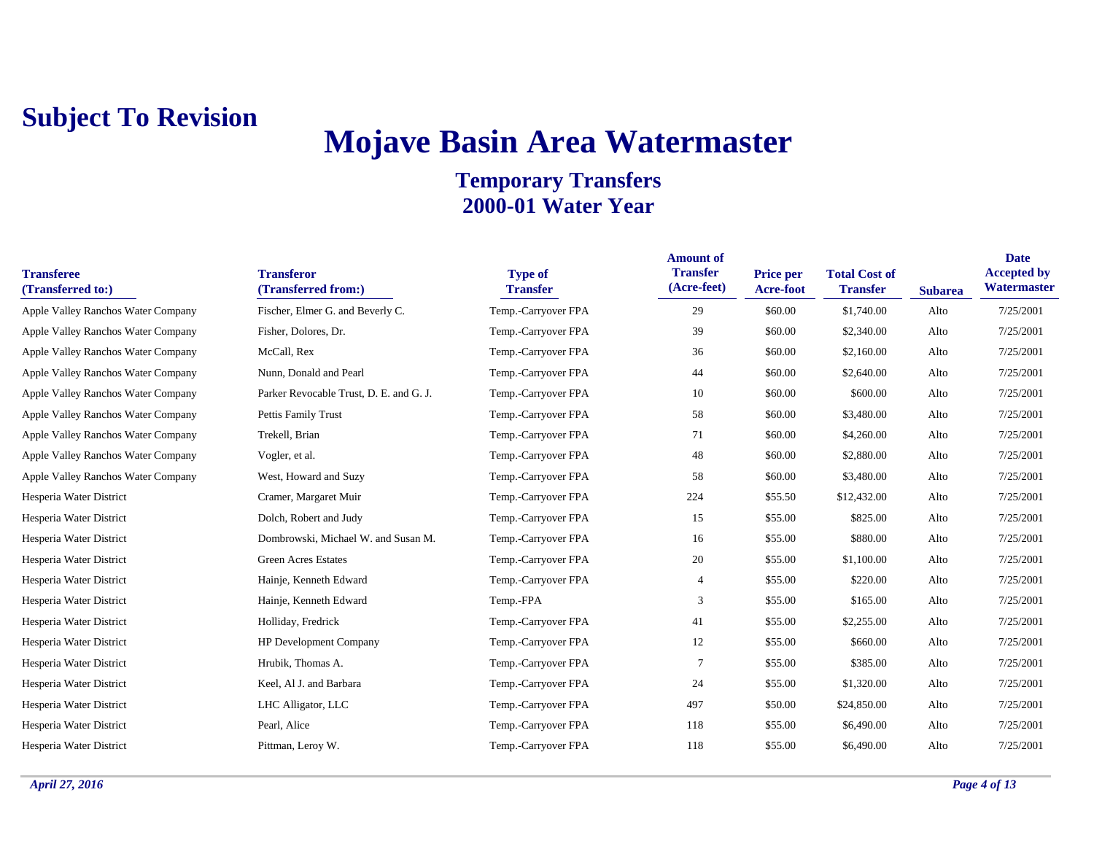## **Mojave Basin Area Watermaster**

| <b>Transferee</b><br>(Transferred to:) | <b>Transferor</b><br>(Transferred from:) | <b>Type of</b><br><b>Transfer</b> | <b>Amount of</b><br><b>Transfer</b><br>(Acre-feet) | <b>Price per</b><br>Acre-foot | <b>Total Cost of</b><br><b>Transfer</b> | <b>Subarea</b> | <b>Date</b><br><b>Accepted by</b><br>Watermaster |
|----------------------------------------|------------------------------------------|-----------------------------------|----------------------------------------------------|-------------------------------|-----------------------------------------|----------------|--------------------------------------------------|
| Apple Valley Ranchos Water Company     | Fischer, Elmer G. and Beverly C.         | Temp.-Carryover FPA               | 29                                                 | \$60.00                       | \$1,740.00                              | Alto           | 7/25/2001                                        |
| Apple Valley Ranchos Water Company     | Fisher, Dolores, Dr.                     | Temp.-Carryover FPA               | 39                                                 | \$60.00                       | \$2,340.00                              | Alto           | 7/25/2001                                        |
| Apple Valley Ranchos Water Company     | McCall, Rex                              | Temp.-Carryover FPA               | 36                                                 | \$60.00                       | \$2,160.00                              | Alto           | 7/25/2001                                        |
| Apple Valley Ranchos Water Company     | Nunn, Donald and Pearl                   | Temp.-Carryover FPA               | 44                                                 | \$60.00                       | \$2,640.00                              | Alto           | 7/25/2001                                        |
| Apple Valley Ranchos Water Company     | Parker Revocable Trust, D. E. and G. J.  | Temp.-Carryover FPA               | 10                                                 | \$60.00                       | \$600.00                                | Alto           | 7/25/2001                                        |
| Apple Valley Ranchos Water Company     | Pettis Family Trust                      | Temp.-Carryover FPA               | 58                                                 | \$60.00                       | \$3,480.00                              | Alto           | 7/25/2001                                        |
| Apple Valley Ranchos Water Company     | Trekell, Brian                           | Temp.-Carryover FPA               | 71                                                 | \$60.00                       | \$4,260.00                              | Alto           | 7/25/2001                                        |
| Apple Valley Ranchos Water Company     | Vogler, et al.                           | Temp.-Carryover FPA               | 48                                                 | \$60.00                       | \$2,880.00                              | Alto           | 7/25/2001                                        |
| Apple Valley Ranchos Water Company     | West, Howard and Suzy                    | Temp.-Carryover FPA               | 58                                                 | \$60.00                       | \$3,480.00                              | Alto           | 7/25/2001                                        |
| Hesperia Water District                | Cramer, Margaret Muir                    | Temp.-Carryover FPA               | 224                                                | \$55.50                       | \$12,432.00                             | Alto           | 7/25/2001                                        |
| Hesperia Water District                | Dolch, Robert and Judy                   | Temp.-Carryover FPA               | 15                                                 | \$55.00                       | \$825.00                                | Alto           | 7/25/2001                                        |
| Hesperia Water District                | Dombrowski, Michael W. and Susan M.      | Temp.-Carryover FPA               | 16                                                 | \$55.00                       | \$880.00                                | Alto           | 7/25/2001                                        |
| Hesperia Water District                | <b>Green Acres Estates</b>               | Temp.-Carryover FPA               | 20                                                 | \$55.00                       | \$1,100.00                              | Alto           | 7/25/2001                                        |
| Hesperia Water District                | Hainje, Kenneth Edward                   | Temp.-Carryover FPA               | 4                                                  | \$55.00                       | \$220.00                                | Alto           | 7/25/2001                                        |
| Hesperia Water District                | Hainje, Kenneth Edward                   | Temp.-FPA                         | 3                                                  | \$55.00                       | \$165.00                                | Alto           | 7/25/2001                                        |
| Hesperia Water District                | Holliday, Fredrick                       | Temp.-Carryover FPA               | 41                                                 | \$55.00                       | \$2,255.00                              | Alto           | 7/25/2001                                        |
| Hesperia Water District                | <b>HP Development Company</b>            | Temp.-Carryover FPA               | 12                                                 | \$55.00                       | \$660.00                                | Alto           | 7/25/2001                                        |
| Hesperia Water District                | Hrubik, Thomas A.                        | Temp.-Carryover FPA               | 7                                                  | \$55.00                       | \$385.00                                | Alto           | 7/25/2001                                        |
| Hesperia Water District                | Keel, Al J. and Barbara                  | Temp.-Carryover FPA               | 24                                                 | \$55.00                       | \$1,320.00                              | Alto           | 7/25/2001                                        |
| Hesperia Water District                | LHC Alligator, LLC                       | Temp.-Carryover FPA               | 497                                                | \$50.00                       | \$24,850.00                             | Alto           | 7/25/2001                                        |
| Hesperia Water District                | Pearl, Alice                             | Temp.-Carryover FPA               | 118                                                | \$55.00                       | \$6,490.00                              | Alto           | 7/25/2001                                        |
| Hesperia Water District                | Pittman, Leroy W.                        | Temp.-Carryover FPA               | 118                                                | \$55.00                       | \$6,490.00                              | Alto           | 7/25/2001                                        |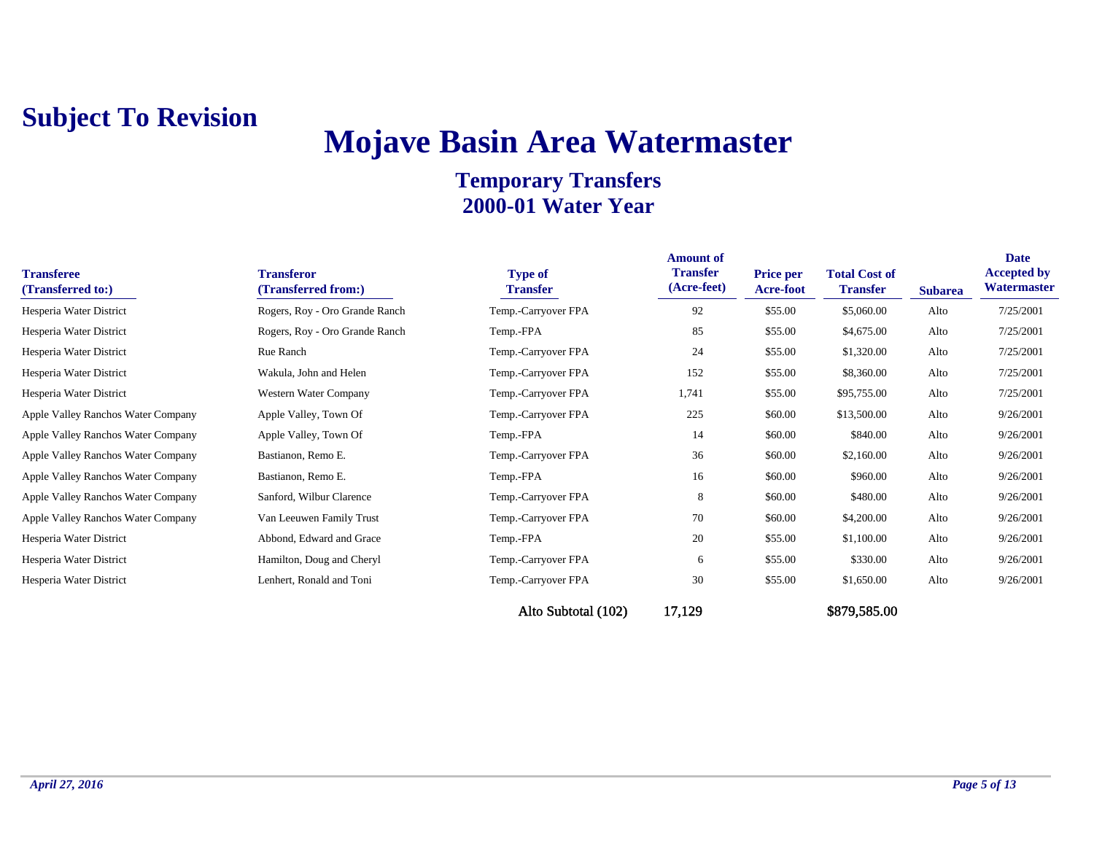## **Mojave Basin Area Watermaster**

| <b>Transferee</b><br>(Transferred to:) | <b>Transferor</b><br>(Transferred from:) | <b>Type of</b><br><b>Transfer</b> | <b>Amount of</b><br><b>Transfer</b><br>(Acre-feet) | <b>Price per</b><br><b>Acre-foot</b> | <b>Total Cost of</b><br><b>Transfer</b> | <b>Subarea</b> | <b>Date</b><br><b>Accepted by</b><br>Watermaster |
|----------------------------------------|------------------------------------------|-----------------------------------|----------------------------------------------------|--------------------------------------|-----------------------------------------|----------------|--------------------------------------------------|
| Hesperia Water District                | Rogers, Roy - Oro Grande Ranch           | Temp.-Carryover FPA               | 92                                                 | \$55.00                              | \$5,060.00                              | Alto           | 7/25/2001                                        |
| Hesperia Water District                | Rogers, Roy - Oro Grande Ranch           | Temp.-FPA                         | 85                                                 | \$55.00                              | \$4,675.00                              | Alto           | 7/25/2001                                        |
| Hesperia Water District                | Rue Ranch                                | Temp.-Carryover FPA               | 24                                                 | \$55.00                              | \$1,320.00                              | Alto           | 7/25/2001                                        |
| Hesperia Water District                | Wakula, John and Helen                   | Temp.-Carryover FPA               | 152                                                | \$55.00                              | \$8,360.00                              | Alto           | 7/25/2001                                        |
| Hesperia Water District                | Western Water Company                    | Temp.-Carryover FPA               | 1,741                                              | \$55.00                              | \$95,755.00                             | Alto           | 7/25/2001                                        |
| Apple Valley Ranchos Water Company     | Apple Valley, Town Of                    | Temp.-Carryover FPA               | 225                                                | \$60.00                              | \$13,500.00                             | Alto           | 9/26/2001                                        |
| Apple Valley Ranchos Water Company     | Apple Valley, Town Of                    | Temp.-FPA                         | 14                                                 | \$60.00                              | \$840.00                                | Alto           | 9/26/2001                                        |
| Apple Valley Ranchos Water Company     | Bastianon, Remo E.                       | Temp.-Carryover FPA               | 36                                                 | \$60.00                              | \$2,160.00                              | Alto           | 9/26/2001                                        |
| Apple Valley Ranchos Water Company     | Bastianon, Remo E.                       | Temp.-FPA                         | 16                                                 | \$60.00                              | \$960.00                                | Alto           | 9/26/2001                                        |
| Apple Valley Ranchos Water Company     | Sanford, Wilbur Clarence                 | Temp.-Carryover FPA               | 8                                                  | \$60.00                              | \$480.00                                | Alto           | 9/26/2001                                        |
| Apple Valley Ranchos Water Company     | Van Leeuwen Family Trust                 | Temp.-Carryover FPA               | 70                                                 | \$60.00                              | \$4,200.00                              | Alto           | 9/26/2001                                        |
| Hesperia Water District                | Abbond, Edward and Grace                 | Temp.-FPA                         | 20                                                 | \$55.00                              | \$1,100.00                              | Alto           | 9/26/2001                                        |
| Hesperia Water District                | Hamilton, Doug and Cheryl                | Temp.-Carryover FPA               | 6                                                  | \$55.00                              | \$330.00                                | Alto           | 9/26/2001                                        |
| Hesperia Water District                | Lenhert, Ronald and Toni                 | Temp.-Carryover FPA               | 30                                                 | \$55.00                              | \$1,650.00                              | Alto           | 9/26/2001                                        |
|                                        |                                          | Alto Subtotal (102)               | 17,129                                             |                                      | \$879,585.00                            |                |                                                  |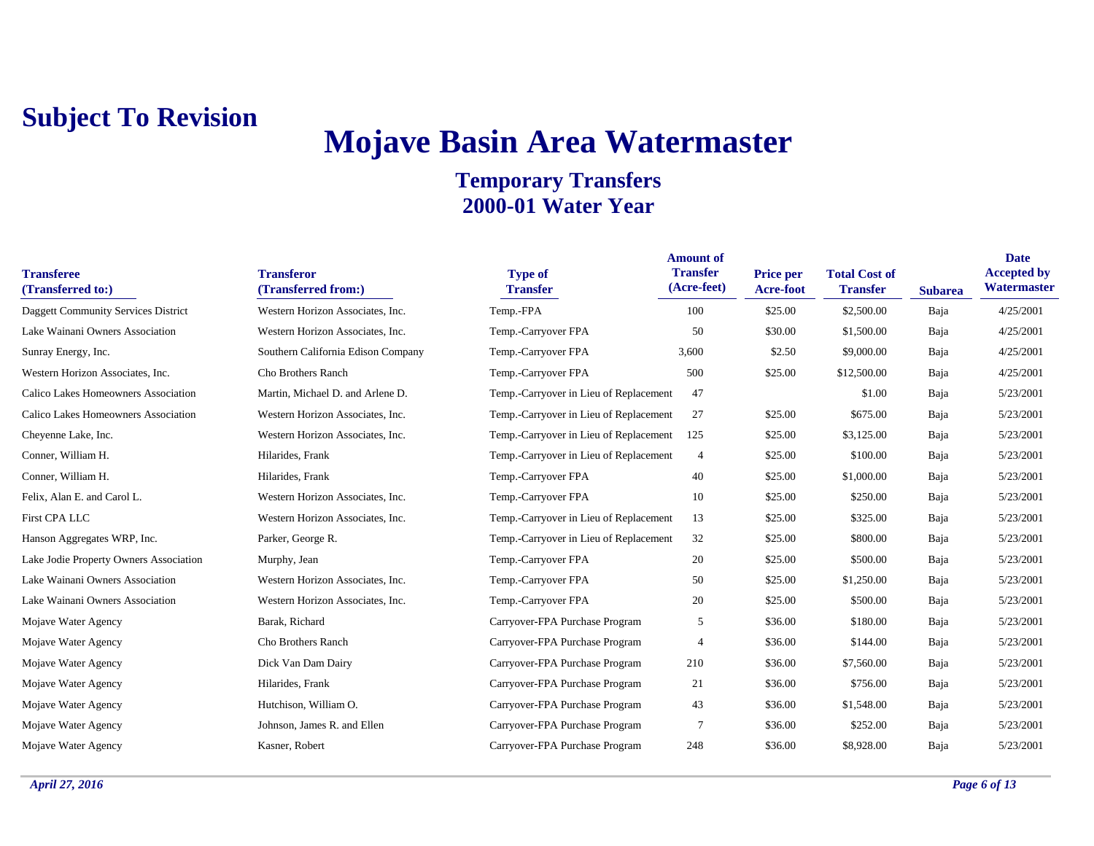# **Mojave Basin Area Watermaster**

| <b>Transferee</b><br>(Transferred to:)     | <b>Transferor</b><br>(Transferred from:) | <b>Type of</b><br><b>Transfer</b>      | <b>Amount of</b><br><b>Transfer</b><br>(Acre-feet) | <b>Price per</b><br>Acre-foot | <b>Total Cost of</b><br><b>Transfer</b> | <b>Subarea</b> | <b>Date</b><br><b>Accepted by</b><br>Watermaster |
|--------------------------------------------|------------------------------------------|----------------------------------------|----------------------------------------------------|-------------------------------|-----------------------------------------|----------------|--------------------------------------------------|
| <b>Daggett Community Services District</b> | Western Horizon Associates, Inc.         | Temp.-FPA                              | 100                                                | \$25.00                       | \$2,500.00                              | Baja           | 4/25/2001                                        |
| Lake Wainani Owners Association            | Western Horizon Associates, Inc.         | Temp.-Carryover FPA                    | 50                                                 | \$30.00                       | \$1,500.00                              | Baja           | 4/25/2001                                        |
| Sunray Energy, Inc.                        | Southern California Edison Company       | Temp.-Carryover FPA                    | 3,600                                              | \$2.50                        | \$9,000.00                              | Baja           | 4/25/2001                                        |
| Western Horizon Associates, Inc.           | Cho Brothers Ranch                       | Temp.-Carryover FPA                    | 500                                                | \$25.00                       | \$12,500.00                             | Baja           | 4/25/2001                                        |
| Calico Lakes Homeowners Association        | Martin, Michael D. and Arlene D.         | Temp.-Carryover in Lieu of Replacement | 47                                                 |                               | \$1.00                                  | Baja           | 5/23/2001                                        |
| Calico Lakes Homeowners Association        | Western Horizon Associates, Inc.         | Temp.-Carryover in Lieu of Replacement | 27                                                 | \$25.00                       | \$675.00                                | Baja           | 5/23/2001                                        |
| Cheyenne Lake, Inc.                        | Western Horizon Associates, Inc.         | Temp.-Carryover in Lieu of Replacement | 125                                                | \$25.00                       | \$3,125.00                              | Baja           | 5/23/2001                                        |
| Conner, William H.                         | Hilarides, Frank                         | Temp.-Carryover in Lieu of Replacement | $\overline{4}$                                     | \$25.00                       | \$100.00                                | Baja           | 5/23/2001                                        |
| Conner, William H.                         | Hilarides, Frank                         | Temp.-Carryover FPA                    | 40                                                 | \$25.00                       | \$1,000.00                              | Baja           | 5/23/2001                                        |
| Felix, Alan E. and Carol L.                | Western Horizon Associates, Inc.         | Temp.-Carryover FPA                    | 10                                                 | \$25.00                       | \$250.00                                | Baja           | 5/23/2001                                        |
| First CPA LLC                              | Western Horizon Associates, Inc.         | Temp.-Carryover in Lieu of Replacement | 13                                                 | \$25.00                       | \$325.00                                | Baja           | 5/23/2001                                        |
| Hanson Aggregates WRP, Inc.                | Parker, George R.                        | Temp.-Carryover in Lieu of Replacement | 32                                                 | \$25.00                       | \$800.00                                | Baja           | 5/23/2001                                        |
| Lake Jodie Property Owners Association     | Murphy, Jean                             | Temp.-Carryover FPA                    | 20                                                 | \$25.00                       | \$500.00                                | Baja           | 5/23/2001                                        |
| Lake Wainani Owners Association            | Western Horizon Associates, Inc.         | Temp.-Carryover FPA                    | 50                                                 | \$25.00                       | \$1,250.00                              | Baja           | 5/23/2001                                        |
| Lake Wainani Owners Association            | Western Horizon Associates, Inc.         | Temp.-Carryover FPA                    | 20                                                 | \$25.00                       | \$500.00                                | Baja           | 5/23/2001                                        |
| Mojave Water Agency                        | Barak, Richard                           | Carryover-FPA Purchase Program         | 5                                                  | \$36.00                       | \$180.00                                | Baja           | 5/23/2001                                        |
| Mojave Water Agency                        | Cho Brothers Ranch                       | Carryover-FPA Purchase Program         | $\overline{4}$                                     | \$36.00                       | \$144.00                                | Baja           | 5/23/2001                                        |
| Mojave Water Agency                        | Dick Van Dam Dairy                       | Carryover-FPA Purchase Program         | 210                                                | \$36.00                       | \$7,560.00                              | Baja           | 5/23/2001                                        |
| Mojave Water Agency                        | Hilarides, Frank                         | Carryover-FPA Purchase Program         | 21                                                 | \$36.00                       | \$756.00                                | Baja           | 5/23/2001                                        |
| Mojave Water Agency                        | Hutchison, William O.                    | Carryover-FPA Purchase Program         | 43                                                 | \$36.00                       | \$1,548.00                              | Baja           | 5/23/2001                                        |
| Mojave Water Agency                        | Johnson, James R. and Ellen              | Carryover-FPA Purchase Program         | $\overline{7}$                                     | \$36.00                       | \$252.00                                | Baja           | 5/23/2001                                        |
| Mojave Water Agency                        | Kasner, Robert                           | Carryover-FPA Purchase Program         | 248                                                | \$36.00                       | \$8,928.00                              | Baia           | 5/23/2001                                        |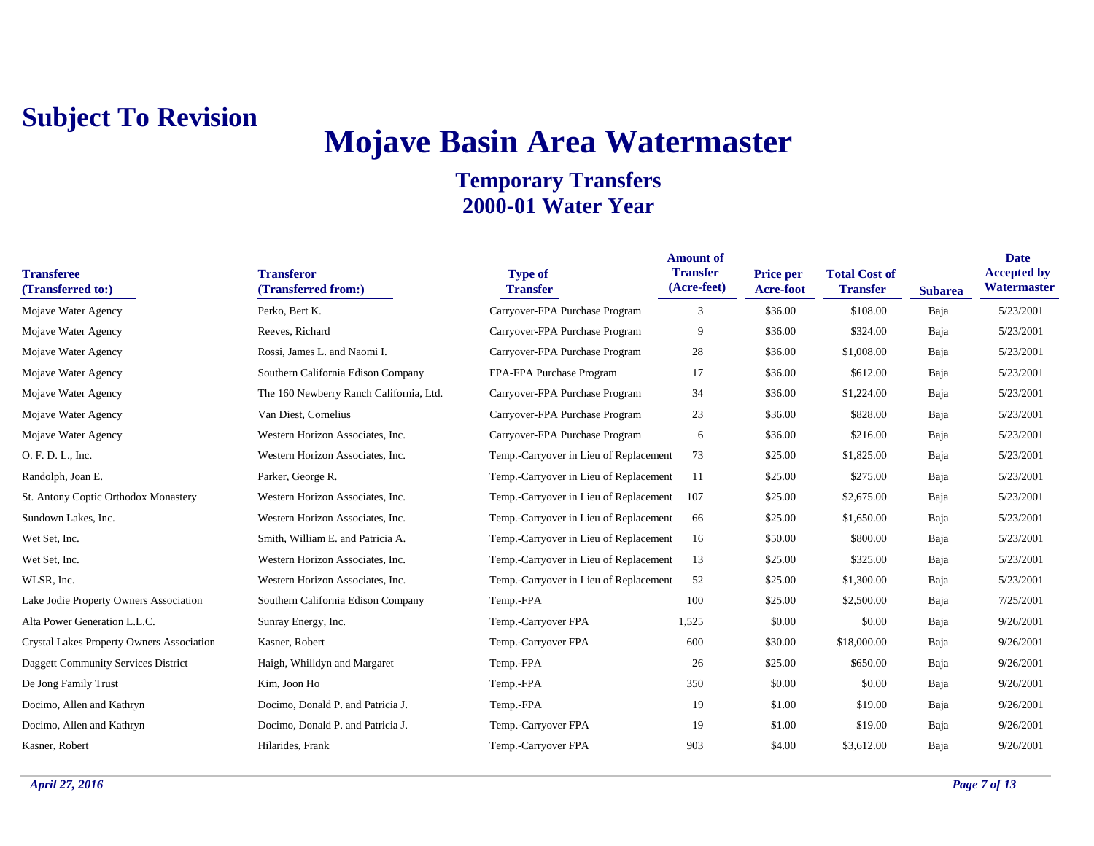## **Mojave Basin Area Watermaster**

| <b>Transferee</b><br>(Transferred to:)    | <b>Transferor</b><br>(Transferred from:) | <b>Type of</b><br><b>Transfer</b>      | <b>Amount of</b><br><b>Transfer</b><br>(Acre-feet) | <b>Price per</b><br>Acre-foot | <b>Total Cost of</b><br><b>Transfer</b> | <b>Subarea</b> | <b>Date</b><br><b>Accepted by</b><br>Watermaster |
|-------------------------------------------|------------------------------------------|----------------------------------------|----------------------------------------------------|-------------------------------|-----------------------------------------|----------------|--------------------------------------------------|
| Mojave Water Agency                       | Perko, Bert K.                           | Carryover-FPA Purchase Program         | 3                                                  | \$36.00                       | \$108.00                                | Baja           | 5/23/2001                                        |
| Mojave Water Agency                       | Reeves, Richard                          | Carryover-FPA Purchase Program         | 9                                                  | \$36.00                       | \$324.00                                | Baja           | 5/23/2001                                        |
| Mojave Water Agency                       | Rossi, James L. and Naomi I.             | Carryover-FPA Purchase Program         | 28                                                 | \$36.00                       | \$1,008.00                              | Baja           | 5/23/2001                                        |
| Mojave Water Agency                       | Southern California Edison Company       | FPA-FPA Purchase Program               | 17                                                 | \$36.00                       | \$612.00                                | Baja           | 5/23/2001                                        |
| Mojave Water Agency                       | The 160 Newberry Ranch California, Ltd.  | Carryover-FPA Purchase Program         | 34                                                 | \$36.00                       | \$1,224.00                              | Baja           | 5/23/2001                                        |
| Mojave Water Agency                       | Van Diest, Cornelius                     | Carryover-FPA Purchase Program         | 23                                                 | \$36.00                       | \$828.00                                | Baja           | 5/23/2001                                        |
| Mojave Water Agency                       | Western Horizon Associates, Inc.         | Carryover-FPA Purchase Program         | 6                                                  | \$36.00                       | \$216.00                                | Baja           | 5/23/2001                                        |
| O. F. D. L., Inc.                         | Western Horizon Associates, Inc.         | Temp.-Carryover in Lieu of Replacement | 73                                                 | \$25.00                       | \$1,825.00                              | Baja           | 5/23/2001                                        |
| Randolph, Joan E.                         | Parker, George R.                        | Temp.-Carryover in Lieu of Replacement | 11                                                 | \$25.00                       | \$275.00                                | Baja           | 5/23/2001                                        |
| St. Antony Coptic Orthodox Monastery      | Western Horizon Associates, Inc.         | Temp.-Carryover in Lieu of Replacement | 107                                                | \$25.00                       | \$2,675.00                              | Baja           | 5/23/2001                                        |
| Sundown Lakes, Inc.                       | Western Horizon Associates, Inc.         | Temp.-Carryover in Lieu of Replacement | 66                                                 | \$25.00                       | \$1,650.00                              | Baja           | 5/23/2001                                        |
| Wet Set, Inc.                             | Smith, William E. and Patricia A.        | Temp.-Carryover in Lieu of Replacement | 16                                                 | \$50.00                       | \$800.00                                | Baja           | 5/23/2001                                        |
| Wet Set, Inc.                             | Western Horizon Associates, Inc.         | Temp.-Carryover in Lieu of Replacement | 13                                                 | \$25.00                       | \$325.00                                | Baja           | 5/23/2001                                        |
| WLSR, Inc.                                | Western Horizon Associates, Inc.         | Temp.-Carryover in Lieu of Replacement | 52                                                 | \$25.00                       | \$1,300.00                              | Baja           | 5/23/2001                                        |
| Lake Jodie Property Owners Association    | Southern California Edison Company       | Temp.-FPA                              | 100                                                | \$25.00                       | \$2,500.00                              | Baja           | 7/25/2001                                        |
| Alta Power Generation L.L.C.              | Sunray Energy, Inc.                      | Temp.-Carryover FPA                    | 1,525                                              | \$0.00                        | \$0.00                                  | Baja           | 9/26/2001                                        |
| Crystal Lakes Property Owners Association | Kasner, Robert                           | Temp.-Carryover FPA                    | 600                                                | \$30.00                       | \$18,000.00                             | Baja           | 9/26/2001                                        |
| Daggett Community Services District       | Haigh, Whilldyn and Margaret             | Temp.-FPA                              | 26                                                 | \$25.00                       | \$650.00                                | Baja           | 9/26/2001                                        |
| De Jong Family Trust                      | Kim, Joon Ho                             | Temp.-FPA                              | 350                                                | \$0.00                        | \$0.00                                  | Baja           | 9/26/2001                                        |
| Docimo, Allen and Kathryn                 | Docimo, Donald P. and Patricia J.        | Temp.-FPA                              | 19                                                 | \$1.00                        | \$19.00                                 | Baja           | 9/26/2001                                        |
| Docimo, Allen and Kathryn                 | Docimo, Donald P. and Patricia J.        | Temp.-Carryover FPA                    | 19                                                 | \$1.00                        | \$19.00                                 | Baja           | 9/26/2001                                        |
| Kasner, Robert                            | Hilarides, Frank                         | Temp.-Carryover FPA                    | 903                                                | \$4.00                        | \$3,612.00                              | Baja           | 9/26/2001                                        |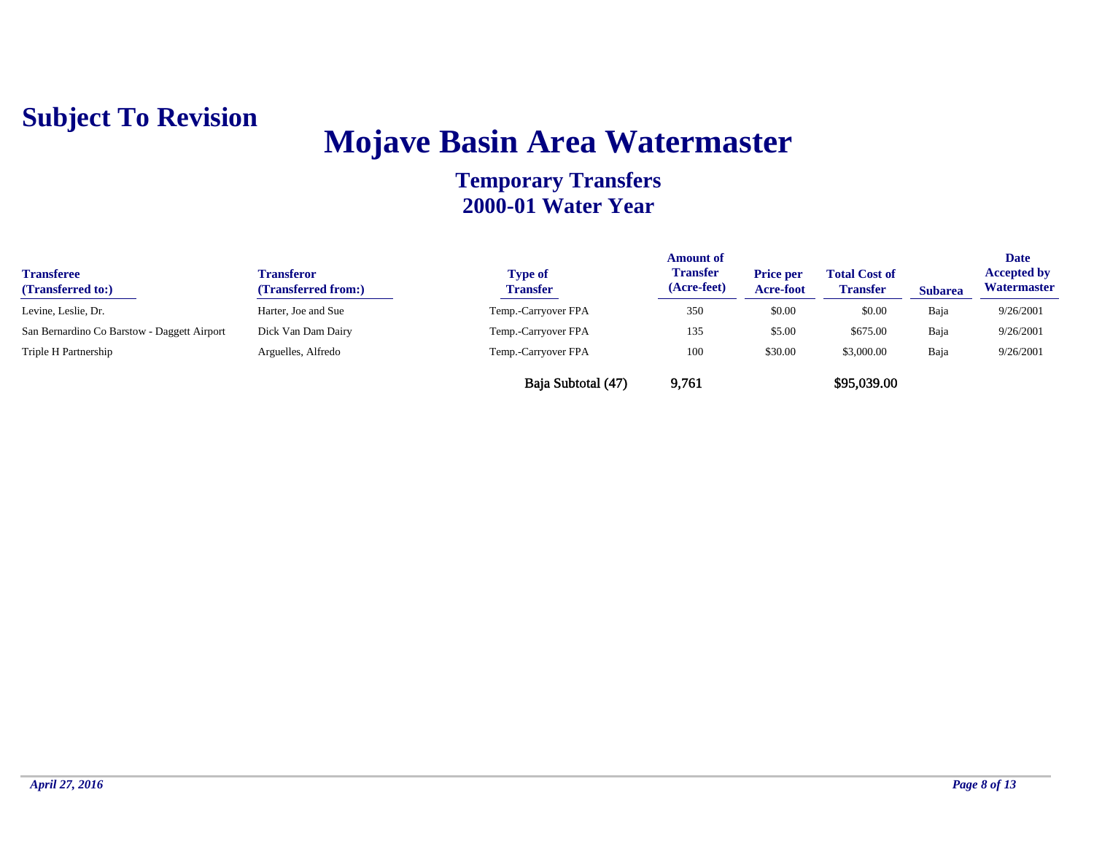

## **Mojave Basin Area Watermaster**

| <b>Transferee</b><br>(Transferred to:)      | <b>Transferor</b><br>(Transferred from:) | <b>Type of</b><br><b>Transfer</b> | <b>Amount of</b><br><b>Transfer</b><br>(Acre-feet) | <b>Price per</b><br>Acre-foot | <b>Total Cost of</b><br><b>Transfer</b> | <b>Subarea</b> | <b>Date</b><br><b>Accepted by</b><br>Watermaster |
|---------------------------------------------|------------------------------------------|-----------------------------------|----------------------------------------------------|-------------------------------|-----------------------------------------|----------------|--------------------------------------------------|
| Levine, Leslie, Dr.                         | Harter, Joe and Sue                      | Temp.-Carryover FPA               | 350                                                | \$0.00                        | \$0.00                                  | Baja           | 9/26/2001                                        |
| San Bernardino Co Barstow - Daggett Airport | Dick Van Dam Dairy                       | Temp.-Carryover FPA               | 135                                                | \$5.00                        | \$675.00                                | Baja           | 9/26/2001                                        |
| Triple H Partnership                        | Arguelles, Alfredo                       | Temp.-Carryover FPA               | 100                                                | \$30.00                       | \$3,000.00                              | Baja           | 9/26/2001                                        |
|                                             |                                          | Baja Subtotal (47)                | 9,761                                              |                               | \$95,039.00                             |                |                                                  |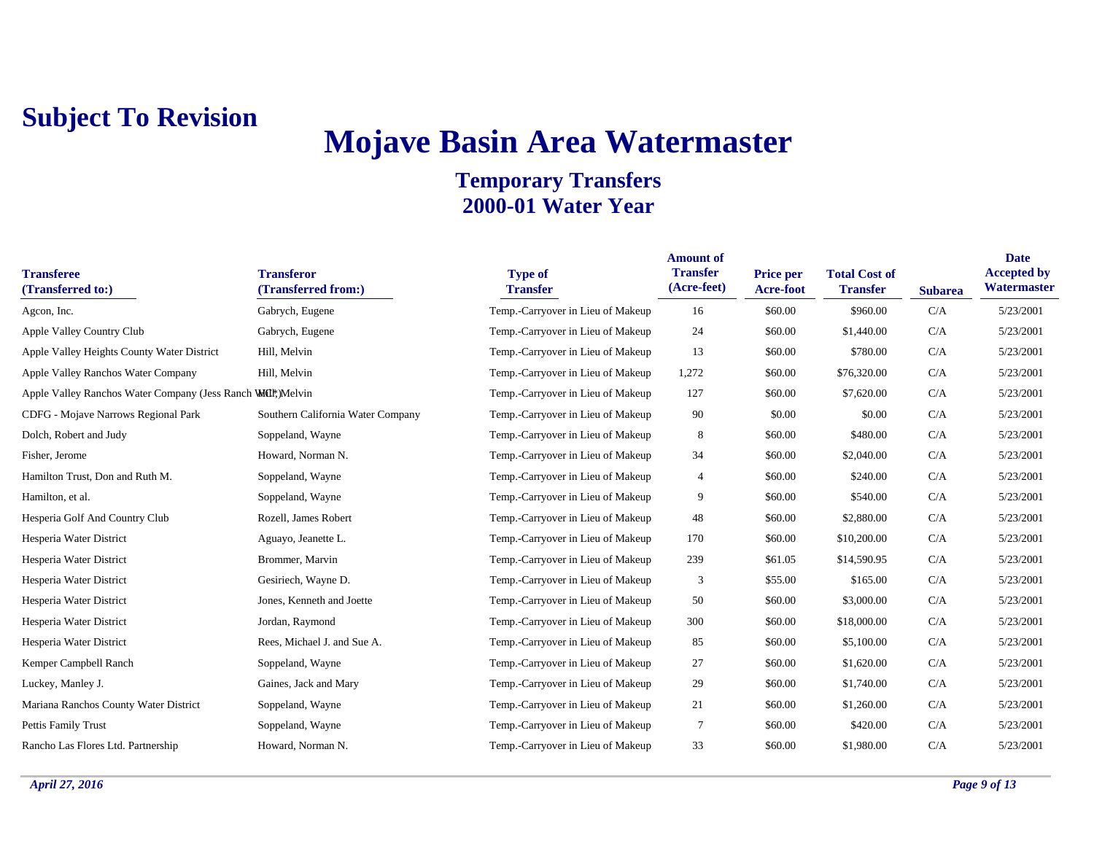## **Mojave Basin Area Watermaster**

| <b>Transferee</b><br>(Transferred to:)                      | <b>Transferor</b><br>(Transferred from:) | <b>Type of</b><br><b>Transfer</b> | <b>Amount of</b><br><b>Transfer</b><br>(Acre-feet) | <b>Price per</b><br>Acre-foot | <b>Total Cost of</b><br><b>Transfer</b> | <b>Subarea</b> | <b>Date</b><br><b>Accepted by</b><br>Watermaster |
|-------------------------------------------------------------|------------------------------------------|-----------------------------------|----------------------------------------------------|-------------------------------|-----------------------------------------|----------------|--------------------------------------------------|
| Agcon, Inc.                                                 | Gabrych, Eugene                          | Temp.-Carryover in Lieu of Makeup | 16                                                 | \$60.00                       | \$960.00                                | C/A            | 5/23/2001                                        |
| Apple Valley Country Club                                   | Gabrych, Eugene                          | Temp.-Carryover in Lieu of Makeup | 24                                                 | \$60.00                       | \$1,440.00                              | C/A            | 5/23/2001                                        |
| Apple Valley Heights County Water District                  | Hill, Melvin                             | Temp.-Carryover in Lieu of Makeup | 13                                                 | \$60.00                       | \$780.00                                | C/A            | 5/23/2001                                        |
| Apple Valley Ranchos Water Company                          | Hill, Melvin                             | Temp.-Carryover in Lieu of Makeup | 1,272                                              | \$60.00                       | \$76,320.00                             | C/A            | 5/23/2001                                        |
| Apple Valley Ranchos Water Company (Jess Ranch WCI); Melvin |                                          | Temp.-Carryover in Lieu of Makeup | 127                                                | \$60.00                       | \$7,620.00                              | C/A            | 5/23/2001                                        |
| CDFG - Mojave Narrows Regional Park                         | Southern California Water Company        | Temp.-Carryover in Lieu of Makeup | 90                                                 | \$0.00                        | \$0.00                                  | C/A            | 5/23/2001                                        |
| Dolch, Robert and Judy                                      | Soppeland, Wayne                         | Temp.-Carryover in Lieu of Makeup | 8                                                  | \$60.00                       | \$480.00                                | C/A            | 5/23/2001                                        |
| Fisher, Jerome                                              | Howard, Norman N.                        | Temp.-Carryover in Lieu of Makeup | 34                                                 | \$60.00                       | \$2,040.00                              | C/A            | 5/23/2001                                        |
| Hamilton Trust, Don and Ruth M.                             | Soppeland, Wayne                         | Temp.-Carryover in Lieu of Makeup | 4                                                  | \$60.00                       | \$240.00                                | C/A            | 5/23/2001                                        |
| Hamilton, et al.                                            | Soppeland, Wayne                         | Temp.-Carryover in Lieu of Makeup | 9                                                  | \$60.00                       | \$540.00                                | C/A            | 5/23/2001                                        |
| Hesperia Golf And Country Club                              | Rozell, James Robert                     | Temp.-Carryover in Lieu of Makeup | 48                                                 | \$60.00                       | \$2,880.00                              | C/A            | 5/23/2001                                        |
| Hesperia Water District                                     | Aguayo, Jeanette L.                      | Temp.-Carryover in Lieu of Makeup | 170                                                | \$60.00                       | \$10,200.00                             | C/A            | 5/23/2001                                        |
| Hesperia Water District                                     | Brommer, Marvin                          | Temp.-Carryover in Lieu of Makeup | 239                                                | \$61.05                       | \$14,590.95                             | C/A            | 5/23/2001                                        |
| Hesperia Water District                                     | Gesiriech, Wayne D.                      | Temp.-Carryover in Lieu of Makeup | 3                                                  | \$55.00                       | \$165.00                                | C/A            | 5/23/2001                                        |
| Hesperia Water District                                     | Jones, Kenneth and Joette                | Temp.-Carryover in Lieu of Makeup | 50                                                 | \$60.00                       | \$3,000.00                              | C/A            | 5/23/2001                                        |
| Hesperia Water District                                     | Jordan, Raymond                          | Temp.-Carryover in Lieu of Makeup | 300                                                | \$60.00                       | \$18,000.00                             | C/A            | 5/23/2001                                        |
| Hesperia Water District                                     | Rees, Michael J. and Sue A.              | Temp.-Carryover in Lieu of Makeup | 85                                                 | \$60.00                       | \$5,100.00                              | C/A            | 5/23/2001                                        |
| Kemper Campbell Ranch                                       | Soppeland, Wayne                         | Temp.-Carryover in Lieu of Makeup | 27                                                 | \$60.00                       | \$1,620.00                              | C/A            | 5/23/2001                                        |
| Luckey, Manley J.                                           | Gaines, Jack and Mary                    | Temp.-Carryover in Lieu of Makeup | 29                                                 | \$60.00                       | \$1,740.00                              | C/A            | 5/23/2001                                        |
| Mariana Ranchos County Water District                       | Soppeland, Wayne                         | Temp.-Carryover in Lieu of Makeup | 21                                                 | \$60.00                       | \$1,260.00                              | C/A            | 5/23/2001                                        |
| Pettis Family Trust                                         | Soppeland, Wayne                         | Temp.-Carryover in Lieu of Makeup | $\overline{7}$                                     | \$60.00                       | \$420.00                                | C/A            | 5/23/2001                                        |
| Rancho Las Flores Ltd. Partnership                          | Howard, Norman N.                        | Temp.-Carryover in Lieu of Makeup | 33                                                 | \$60.00                       | \$1,980.00                              | C/A            | 5/23/2001                                        |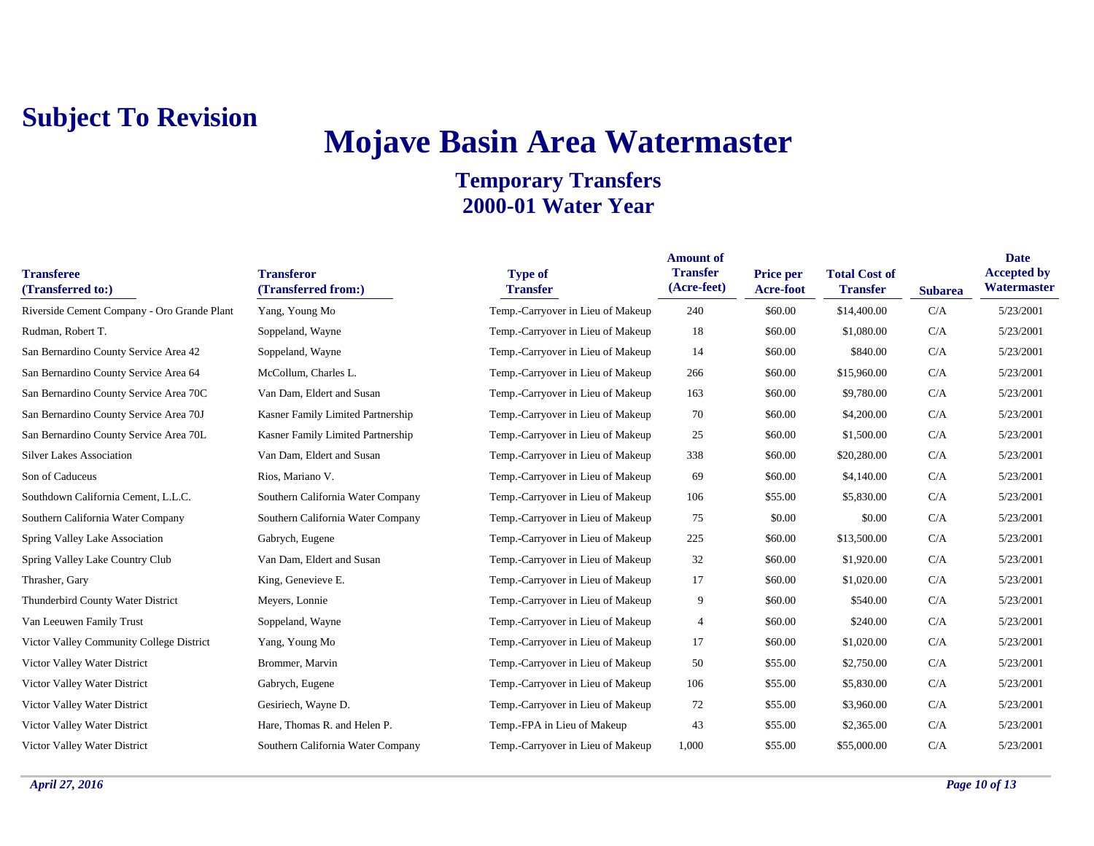## **Mojave Basin Area Watermaster**

| <b>Transferee</b><br>(Transferred to:)      | <b>Transferor</b><br>(Transferred from:) | <b>Type of</b><br><b>Transfer</b> | <b>Amount of</b><br><b>Transfer</b><br>(Acre-feet) | <b>Price per</b><br>Acre-foot | <b>Total Cost of</b><br><b>Transfer</b> | <b>Subarea</b> | <b>Date</b><br><b>Accepted by</b><br>Watermaster |
|---------------------------------------------|------------------------------------------|-----------------------------------|----------------------------------------------------|-------------------------------|-----------------------------------------|----------------|--------------------------------------------------|
| Riverside Cement Company - Oro Grande Plant | Yang, Young Mo                           | Temp.-Carryover in Lieu of Makeup | 240                                                | \$60.00                       | \$14,400.00                             | C/A            | 5/23/2001                                        |
| Rudman, Robert T.                           | Soppeland, Wayne                         | Temp.-Carryover in Lieu of Makeup | 18                                                 | \$60.00                       | \$1,080.00                              | C/A            | 5/23/2001                                        |
| San Bernardino County Service Area 42       | Soppeland, Wayne                         | Temp.-Carryover in Lieu of Makeup | 14                                                 | \$60.00                       | \$840.00                                | C/A            | 5/23/2001                                        |
| San Bernardino County Service Area 64       | McCollum, Charles L.                     | Temp.-Carryover in Lieu of Makeup | 266                                                | \$60.00                       | \$15,960.00                             | C/A            | 5/23/2001                                        |
| San Bernardino County Service Area 70C      | Van Dam, Eldert and Susan                | Temp.-Carryover in Lieu of Makeup | 163                                                | \$60.00                       | \$9,780.00                              | C/A            | 5/23/2001                                        |
| San Bernardino County Service Area 70J      | Kasner Family Limited Partnership        | Temp.-Carryover in Lieu of Makeup | 70                                                 | \$60.00                       | \$4,200.00                              | C/A            | 5/23/2001                                        |
| San Bernardino County Service Area 70L      | Kasner Family Limited Partnership        | Temp.-Carryover in Lieu of Makeup | 25                                                 | \$60.00                       | \$1,500.00                              | C/A            | 5/23/2001                                        |
| <b>Silver Lakes Association</b>             | Van Dam, Eldert and Susan                | Temp.-Carryover in Lieu of Makeup | 338                                                | \$60.00                       | \$20,280.00                             | C/A            | 5/23/2001                                        |
| Son of Caduceus                             | Rios, Mariano V.                         | Temp.-Carryover in Lieu of Makeup | 69                                                 | \$60.00                       | \$4,140.00                              | C/A            | 5/23/2001                                        |
| Southdown California Cement, L.L.C.         | Southern California Water Company        | Temp.-Carryover in Lieu of Makeup | 106                                                | \$55.00                       | \$5,830.00                              | C/A            | 5/23/2001                                        |
| Southern California Water Company           | Southern California Water Company        | Temp.-Carryover in Lieu of Makeup | 75                                                 | \$0.00                        | \$0.00                                  | C/A            | 5/23/2001                                        |
| Spring Valley Lake Association              | Gabrych, Eugene                          | Temp.-Carryover in Lieu of Makeup | 225                                                | \$60.00                       | \$13,500.00                             | C/A            | 5/23/2001                                        |
| Spring Valley Lake Country Club             | Van Dam, Eldert and Susan                | Temp.-Carryover in Lieu of Makeup | 32                                                 | \$60.00                       | \$1,920.00                              | C/A            | 5/23/2001                                        |
| Thrasher, Gary                              | King, Genevieve E.                       | Temp.-Carryover in Lieu of Makeup | 17                                                 | \$60.00                       | \$1,020.00                              | C/A            | 5/23/2001                                        |
| Thunderbird County Water District           | Meyers, Lonnie                           | Temp.-Carryover in Lieu of Makeup | 9                                                  | \$60.00                       | \$540.00                                | C/A            | 5/23/2001                                        |
| Van Leeuwen Family Trust                    | Soppeland, Wayne                         | Temp.-Carryover in Lieu of Makeup | $\overline{4}$                                     | \$60.00                       | \$240.00                                | C/A            | 5/23/2001                                        |
| Victor Valley Community College District    | Yang, Young Mo                           | Temp.-Carryover in Lieu of Makeup | 17                                                 | \$60.00                       | \$1,020.00                              | C/A            | 5/23/2001                                        |
| Victor Valley Water District                | Brommer, Marvin                          | Temp.-Carryover in Lieu of Makeup | 50                                                 | \$55.00                       | \$2,750.00                              | C/A            | 5/23/2001                                        |
| Victor Valley Water District                | Gabrych, Eugene                          | Temp.-Carryover in Lieu of Makeup | 106                                                | \$55.00                       | \$5,830.00                              | C/A            | 5/23/2001                                        |
| Victor Valley Water District                | Gesiriech, Wayne D.                      | Temp.-Carryover in Lieu of Makeup | 72                                                 | \$55.00                       | \$3,960.00                              | C/A            | 5/23/2001                                        |
| Victor Valley Water District                | Hare, Thomas R. and Helen P.             | Temp.-FPA in Lieu of Makeup       | 43                                                 | \$55.00                       | \$2,365.00                              | C/A            | 5/23/2001                                        |
| Victor Valley Water District                | Southern California Water Company        | Temp.-Carryover in Lieu of Makeup | 1.000                                              | \$55.00                       | \$55,000.00                             | C/A            | 5/23/2001                                        |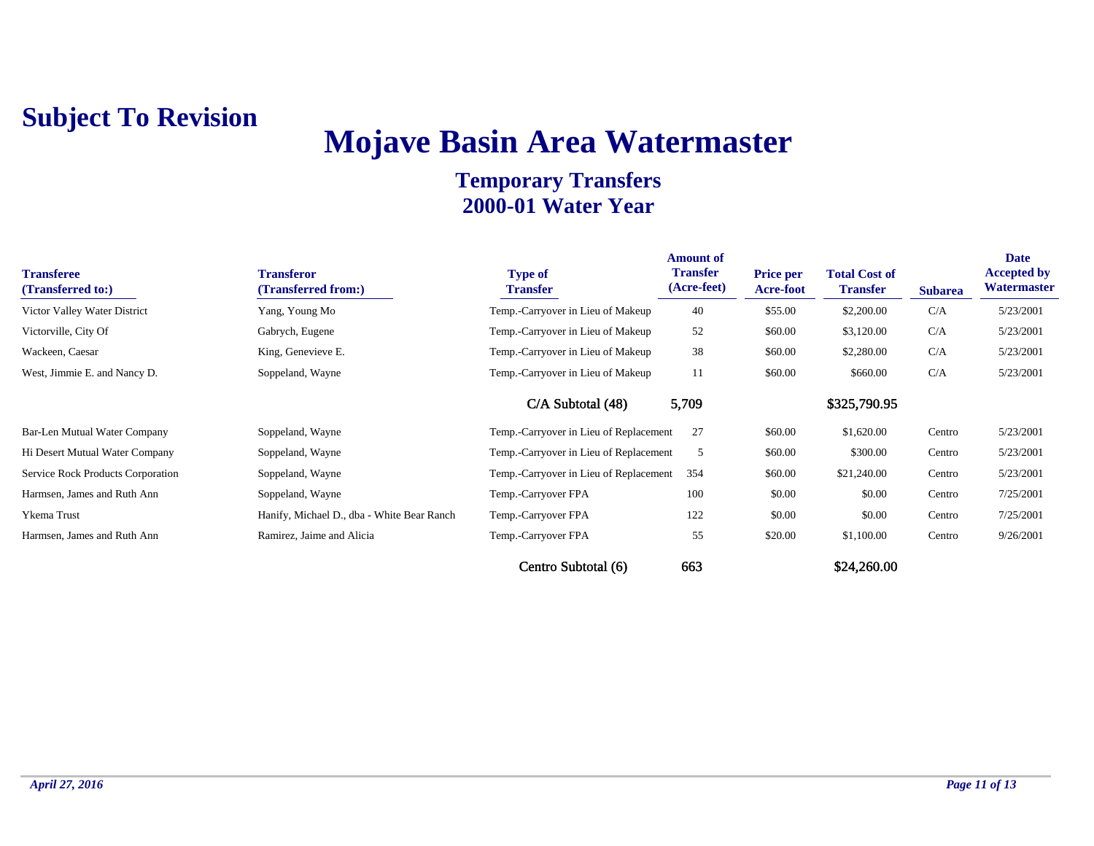## **Mojave Basin Area Watermaster**

| <b>Transferee</b><br>(Transferred to:) | <b>Transferor</b><br>(Transferred from:)   | <b>Type of</b><br><b>Transfer</b>      | <b>Amount of</b><br><b>Transfer</b><br>(Acre-feet) | <b>Price per</b><br><b>Acre-foot</b> | <b>Total Cost of</b><br><b>Transfer</b> | <b>Subarea</b> | Date<br><b>Accepted by</b><br>Watermaster |
|----------------------------------------|--------------------------------------------|----------------------------------------|----------------------------------------------------|--------------------------------------|-----------------------------------------|----------------|-------------------------------------------|
| Victor Valley Water District           | Yang, Young Mo                             | Temp.-Carryover in Lieu of Makeup      | 40                                                 | \$55.00                              | \$2,200.00                              | C/A            | 5/23/2001                                 |
| Victorville, City Of                   | Gabrych, Eugene                            | Temp.-Carryover in Lieu of Makeup      | 52                                                 | \$60.00                              | \$3,120.00                              | C/A            | 5/23/2001                                 |
| Wackeen, Caesar                        | King, Genevieve E.                         | Temp.-Carryover in Lieu of Makeup      | 38                                                 | \$60.00                              | \$2,280.00                              | C/A            | 5/23/2001                                 |
| West, Jimmie E. and Nancy D.           | Soppeland, Wayne                           | Temp.-Carryover in Lieu of Makeup      | 11                                                 | \$60.00                              | \$660.00                                | C/A            | 5/23/2001                                 |
|                                        |                                            | $C/A$ Subtotal $(48)$                  | 5,709                                              |                                      | \$325,790.95                            |                |                                           |
| Bar-Len Mutual Water Company           | Soppeland, Wayne                           | Temp.-Carryover in Lieu of Replacement | 27                                                 | \$60.00                              | \$1,620.00                              | Centro         | 5/23/2001                                 |
| Hi Desert Mutual Water Company         | Soppeland, Wayne                           | Temp.-Carryover in Lieu of Replacement | 5                                                  | \$60.00                              | \$300.00                                | Centro         | 5/23/2001                                 |
| Service Rock Products Corporation      | Soppeland, Wayne                           | Temp.-Carryover in Lieu of Replacement | 354                                                | \$60.00                              | \$21,240.00                             | Centro         | 5/23/2001                                 |
| Harmsen, James and Ruth Ann            | Soppeland, Wayne                           | Temp.-Carryover FPA                    | 100                                                | \$0.00                               | \$0.00                                  | Centro         | 7/25/2001                                 |
| Ykema Trust                            | Hanify, Michael D., dba - White Bear Ranch | Temp.-Carryover FPA                    | 122                                                | \$0.00                               | \$0.00                                  | Centro         | 7/25/2001                                 |
| Harmsen, James and Ruth Ann            | Ramirez, Jaime and Alicia                  | Temp.-Carryover FPA                    | 55                                                 | \$20.00                              | \$1,100.00                              | Centro         | 9/26/2001                                 |
|                                        |                                            | Centro Subtotal (6)                    | 663                                                |                                      | \$24,260.00                             |                |                                           |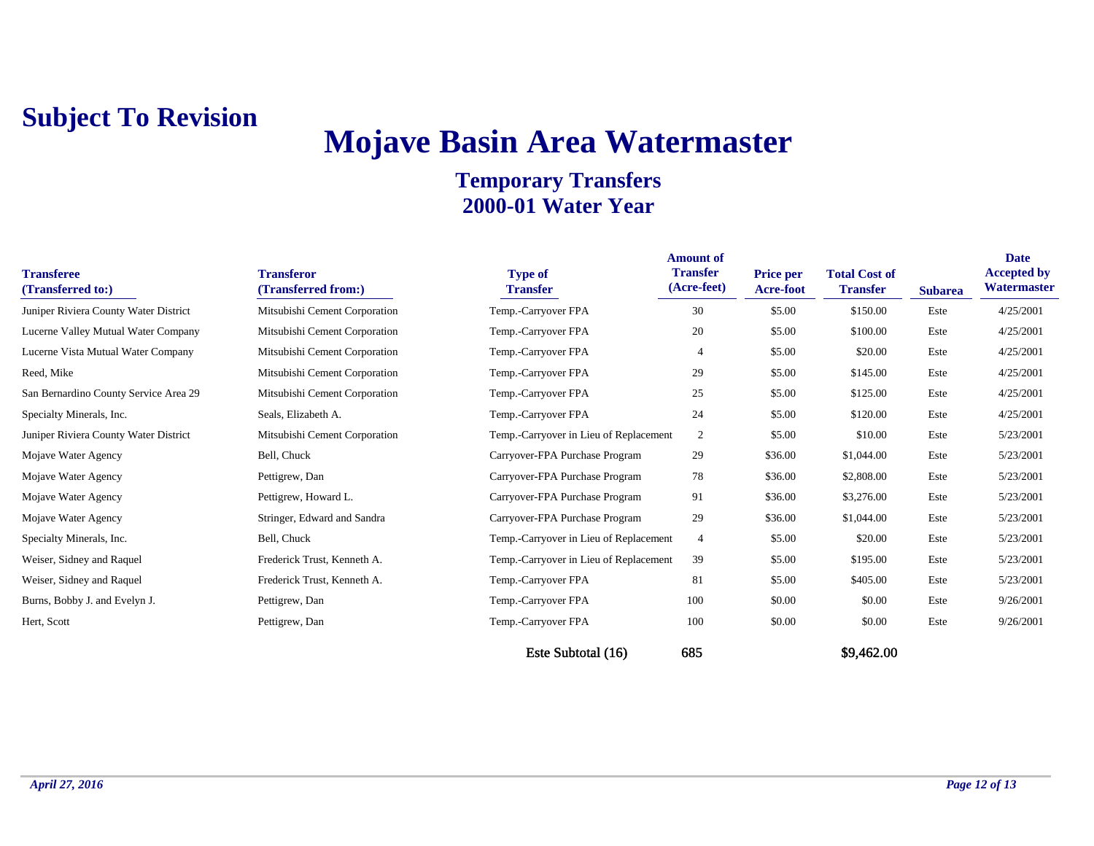## **Mojave Basin Area Watermaster**

#### **Temporary Transfers 2000-01 Water Year**

| <b>Transferee</b><br>(Transferred to:) | <b>Transferor</b><br>(Transferred from:) | <b>Type of</b><br><b>Transfer</b>      | <b>Amount of</b><br><b>Transfer</b><br>(Acre-feet) | <b>Price per</b><br><b>Acre-foot</b> | <b>Total Cost of</b><br><b>Transfer</b> | <b>Subarea</b> | Date<br><b>Accepted by</b><br>Watermaster |
|----------------------------------------|------------------------------------------|----------------------------------------|----------------------------------------------------|--------------------------------------|-----------------------------------------|----------------|-------------------------------------------|
| Juniper Riviera County Water District  | Mitsubishi Cement Corporation            | Temp.-Carryover FPA                    | 30                                                 | \$5.00                               | \$150.00                                | Este           | 4/25/2001                                 |
| Lucerne Valley Mutual Water Company    | Mitsubishi Cement Corporation            | Temp.-Carryover FPA                    | 20                                                 | \$5.00                               | \$100.00                                | Este           | 4/25/2001                                 |
| Lucerne Vista Mutual Water Company     | Mitsubishi Cement Corporation            | Temp.-Carryover FPA                    |                                                    | \$5.00                               | \$20.00                                 | Este           | 4/25/2001                                 |
| Reed, Mike                             | Mitsubishi Cement Corporation            | Temp.-Carryover FPA                    | 29                                                 | \$5.00                               | \$145.00                                | Este           | 4/25/2001                                 |
| San Bernardino County Service Area 29  | Mitsubishi Cement Corporation            | Temp.-Carryover FPA                    | 25                                                 | \$5.00                               | \$125.00                                | Este           | 4/25/2001                                 |
| Specialty Minerals, Inc.               | Seals, Elizabeth A.                      | Temp.-Carryover FPA                    | 24                                                 | \$5.00                               | \$120.00                                | Este           | 4/25/2001                                 |
| Juniper Riviera County Water District  | Mitsubishi Cement Corporation            | Temp.-Carryover in Lieu of Replacement | $\overline{2}$                                     | \$5.00                               | \$10.00                                 | Este           | 5/23/2001                                 |
| Mojave Water Agency                    | Bell, Chuck                              | Carryover-FPA Purchase Program         | 29                                                 | \$36.00                              | \$1,044.00                              | Este           | 5/23/2001                                 |
| Mojave Water Agency                    | Pettigrew, Dan                           | Carryover-FPA Purchase Program         | 78                                                 | \$36.00                              | \$2,808.00                              | Este           | 5/23/2001                                 |
| Mojave Water Agency                    | Pettigrew, Howard L.                     | Carryover-FPA Purchase Program         | 91                                                 | \$36.00                              | \$3,276.00                              | Este           | 5/23/2001                                 |
| Mojave Water Agency                    | Stringer, Edward and Sandra              | Carryover-FPA Purchase Program         | 29                                                 | \$36.00                              | \$1,044.00                              | Este           | 5/23/2001                                 |
| Specialty Minerals, Inc.               | Bell, Chuck                              | Temp.-Carryover in Lieu of Replacement | $\overline{4}$                                     | \$5.00                               | \$20.00                                 | Este           | 5/23/2001                                 |
| Weiser, Sidney and Raquel              | Frederick Trust, Kenneth A.              | Temp.-Carryover in Lieu of Replacement | 39                                                 | \$5.00                               | \$195.00                                | Este           | 5/23/2001                                 |
| Weiser, Sidney and Raquel              | Frederick Trust, Kenneth A.              | Temp.-Carryover FPA                    | 81                                                 | \$5.00                               | \$405.00                                | Este           | 5/23/2001                                 |
| Burns, Bobby J. and Evelyn J.          | Pettigrew, Dan                           | Temp.-Carryover FPA                    | 100                                                | \$0.00                               | \$0.00                                  | Este           | 9/26/2001                                 |
| Hert, Scott                            | Pettigrew, Dan                           | Temp.-Carryover FPA                    | 100                                                | \$0.00                               | \$0.00                                  | Este           | 9/26/2001                                 |
|                                        |                                          |                                        |                                                    |                                      |                                         |                |                                           |

Este Subtotal (16) 685 \$9,462.00